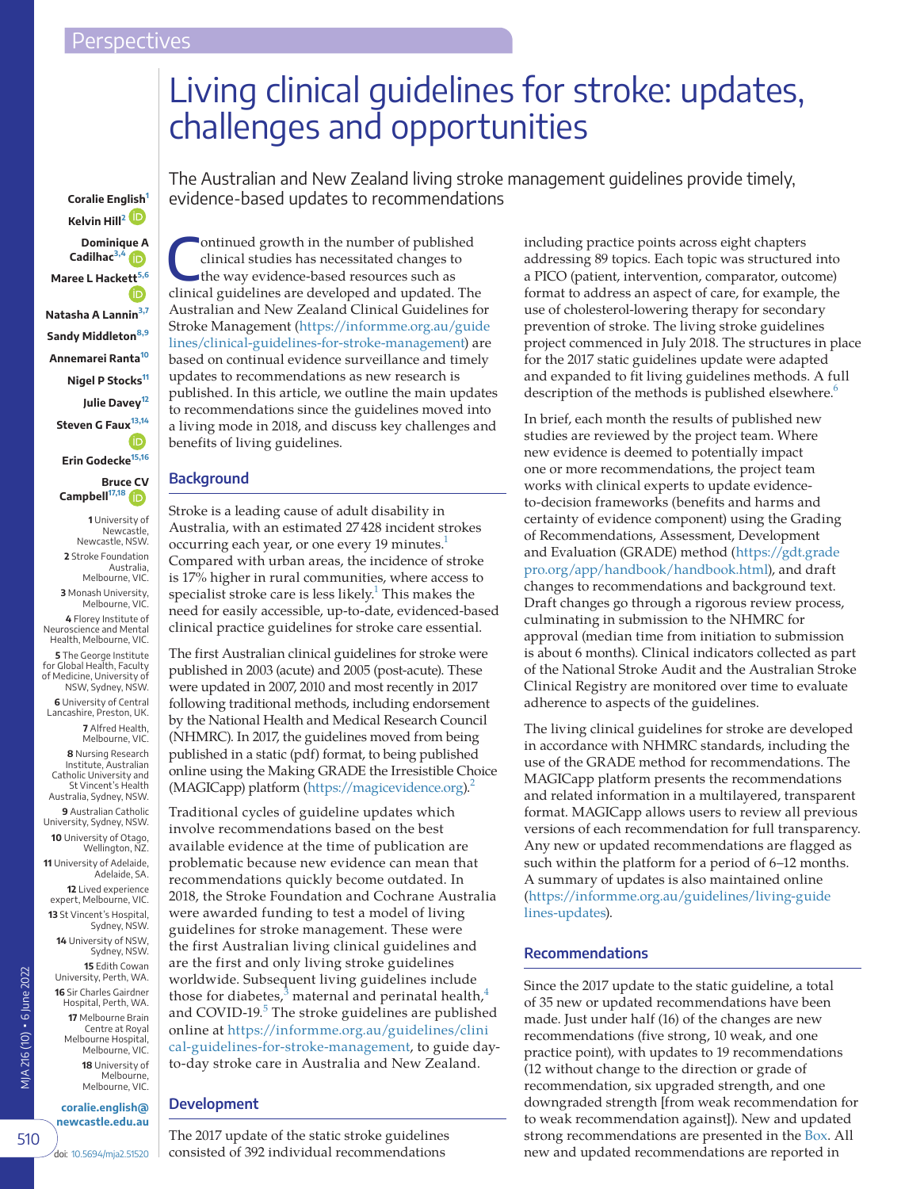# Living clinical guidelines for stroke: updates, challenges and opportunities

The Australian and New Zealand living stroke management guidelines provide timely, evidence-based updates to recommendations

**Kelvin Hill[2](#page-0-1) Dominiq[ue A](https://orcid.org/0000-0001-8162-682X) Cadilhac[3,4](#page-0-2) Maree L Hack[ett](https://orcid.org/0000-0003-1211-9087)[5,6](#page-0-3) Natasha A Lannin[3,7](#page-0-2) Sandy Middleton[8,9](#page-0-4) Annemarei Ranta[10](#page-0-5) Nigel P Stocks[11](#page-0-6) Julie Davey[12](#page-0-7) Steven G Fau[x](https://orcid.org/0000-0001-8846-216X)[13,14](#page-0-8) Erin Godecke[15,16](#page-0-9)**

**Coralie En[glish](https://orcid.org/0000-0002-2322-8599)[1](#page-0-0)**

**Bruc[e CV](https://orcid.org/0000-0003-3632-9433) Campbell[17,18](#page-0-10)**

<span id="page-0-2"></span><span id="page-0-1"></span>**1** University of Newcastle, Newcastle, NSW. **2** Stroke Foundation Australia, Melbourne, VIC. **3** Monash University, Melbourne, VIC. **4** Florey Institute of Neuroscience and Mental Health, Melbourne, VIC. **5** The George Institute for Global Health, Faculty of Medicine, University of NSW, Sydney, NSW. **6** University of Central Lancashire, Preston, UK. **7** Alfred Health, Melbourne, VIC. **8** Nursing Research Institute, Australian Catholic University and St Vincent's Health Australia, Sydney, NSW. **9** Australian Catholic University, Sydney, NSW. **10** University of Otago, Wellington, NZ. **11** University of Adelaide, Adelaide, SA. **12** Lived experience expert, Melbourne, VIC. **13** St Vincent's Hospital, Sydney, NSW. **14** University of NSW, Sydney, NSW. **15** Edith Cowan

<span id="page-0-10"></span><span id="page-0-9"></span><span id="page-0-8"></span><span id="page-0-7"></span>University, Perth, WA. **16** Sir Charles Gairdner Hospital, Perth, WA. **17** Melbourne Brain Centre at Royal Melbourne Hospital, Melbourne, VIC. **18** University of Melbourne, Melbourne, VIC.

<span id="page-0-6"></span>MJA 216 (10) ▪ 6 June 2022

VIA 216 (10) • 6 June 2022

510

**coralie.english@**

**newcastle.edu.au**

doi: [10.5694/mja2.51520](https://doi.org/10.5694/mja2.51520)

ontinued growth in the number of published clinical studies has necessitated changes to the way evidence-based resources such as clinical guidelines are developed and updated. The Australian and New Zealand Clinical Guidelines for Stroke Management ([https://informme.org.au/guide](https://informme.org.au/guidelines/clinical-guidelines-for-stroke-management) [lines/clinical-guidelines-for-stroke-management\)](https://informme.org.au/guidelines/clinical-guidelines-for-stroke-management) are based on continual evidence surveillance and timely updates to recommendations as new research is published. In this article, we outline the main updates to recommendations since the guidelines moved into a living mode in 2018, and discuss key challenges and benefits of living guidelines.

## **Background**

<span id="page-0-0"></span>Stroke is a leading cause of adult disability in Australia, with an estimated 27428 incident strokes occurring each year, or one every 19 minutes.<sup>1</sup> Compared with urban areas, the incidence of stroke is 17% higher in rural communities, where access to specialist stroke care is less likely. $^1$  This makes the need for easily accessible, up-to-date, evidenced-based clinical practice guidelines for stroke care essential.

<span id="page-0-3"></span>The first Australian clinical guidelines for stroke were published in 2003 (acute) and 2005 (post-acute). These were updated in 2007, 2010 and most recently in 2017 following traditional methods, including endorsement by the National Health and Medical Research Council (NHMRC). In 2017, the guidelines moved from being published in a static (pdf) format, to being published online using the Making GRADE the Irresistible Choice (MAGICapp) platform ([https://magicevidence.org\)](https://magicevidence.org).<sup>2</sup>

<span id="page-0-5"></span><span id="page-0-4"></span>Traditional cycles of guideline updates which involve recommendations based on the best available evidence at the time of publication are problematic because new evidence can mean that recommendations quickly become outdated. In 2018, the Stroke Foundation and Cochrane Australia were awarded funding to test a model of living guidelines for stroke management. These were the first Australian living clinical guidelines and are the first and only living stroke guidelines worldwide. Subsequent living guidelines include those for diabetes, $3$  maternal and perinatal health, $4$ and COVID-19.<sup>[5](#page-3-4)</sup> The stroke guidelines are published online at [https://informme.org.au/guidelines/clini](https://informme.org.au/guidelines/clinical-guidelines-for-stroke-management) [cal-guidelines-for-stroke-management,](https://informme.org.au/guidelines/clinical-guidelines-for-stroke-management) to guide dayto-day stroke care in Australia and New Zealand.

## **Development**

The 2017 update of the static stroke guidelines consisted of 392 individual recommendations

including practice points across eight chapters addressing 89 topics. Each topic was structured into a PICO (patient, intervention, comparator, outcome) format to address an aspect of care, for example, the use of cholesterol-lowering therapy for secondary prevention of stroke. The living stroke guidelines project commenced in July 2018. The structures in place for the 2017 static guidelines update were adapted and expanded to fit living guidelines methods. A full description of the methods is published elsewhere.<sup>[6](#page-3-5)</sup>

In brief, each month the results of published new studies are reviewed by the project team. Where new evidence is deemed to potentially impact one or more recommendations, the project team works with clinical experts to update evidenceto-decision frameworks (benefits and harms and certainty of evidence component) using the Grading of Recommendations, Assessment, Development and Evaluation (GRADE) method [\(https://gdt.grade](https://gdt.gradepro.org/app/handbook/handbook.html) [pro.org/app/handbook/handbook.html](https://gdt.gradepro.org/app/handbook/handbook.html)), and draft changes to recommendations and background text. Draft changes go through a rigorous review process, culminating in submission to the NHMRC for approval (median time from initiation to submission is about 6 months). Clinical indicators collected as part of the National Stroke Audit and the Australian Stroke Clinical Registry are monitored over time to evaluate adherence to aspects of the guidelines.

The living clinical guidelines for stroke are developed in accordance with NHMRC standards, including the use of the GRADE method for recommendations. The MAGICapp platform presents the recommendations and related information in a multilayered, transparent format. MAGICapp allows users to review all previous versions of each recommendation for full transparency. Any new or updated recommendations are flagged as such within the platform for a period of 6–12 months. A summary of updates is also maintained online ([https://informme.org.au/guidelines/living-guide](https://informme.org.au/guidelines/living-guidelines-updates) [lines-updates](https://informme.org.au/guidelines/living-guidelines-updates)).

## **Recommendations**

Since the 2017 update to the static guideline, a total of 35 new or updated recommendations have been made. Just under half (16) of the changes are new recommendations (five strong, 10 weak, and one practice point), with updates to 19 recommendations (12 without change to the direction or grade of recommendation, six upgraded strength, and one downgraded strength [from weak recommendation for to weak recommendation against]). New and updated strong recommendations are presented in the [Box.](#page-2-0) All new and updated recommendations are reported in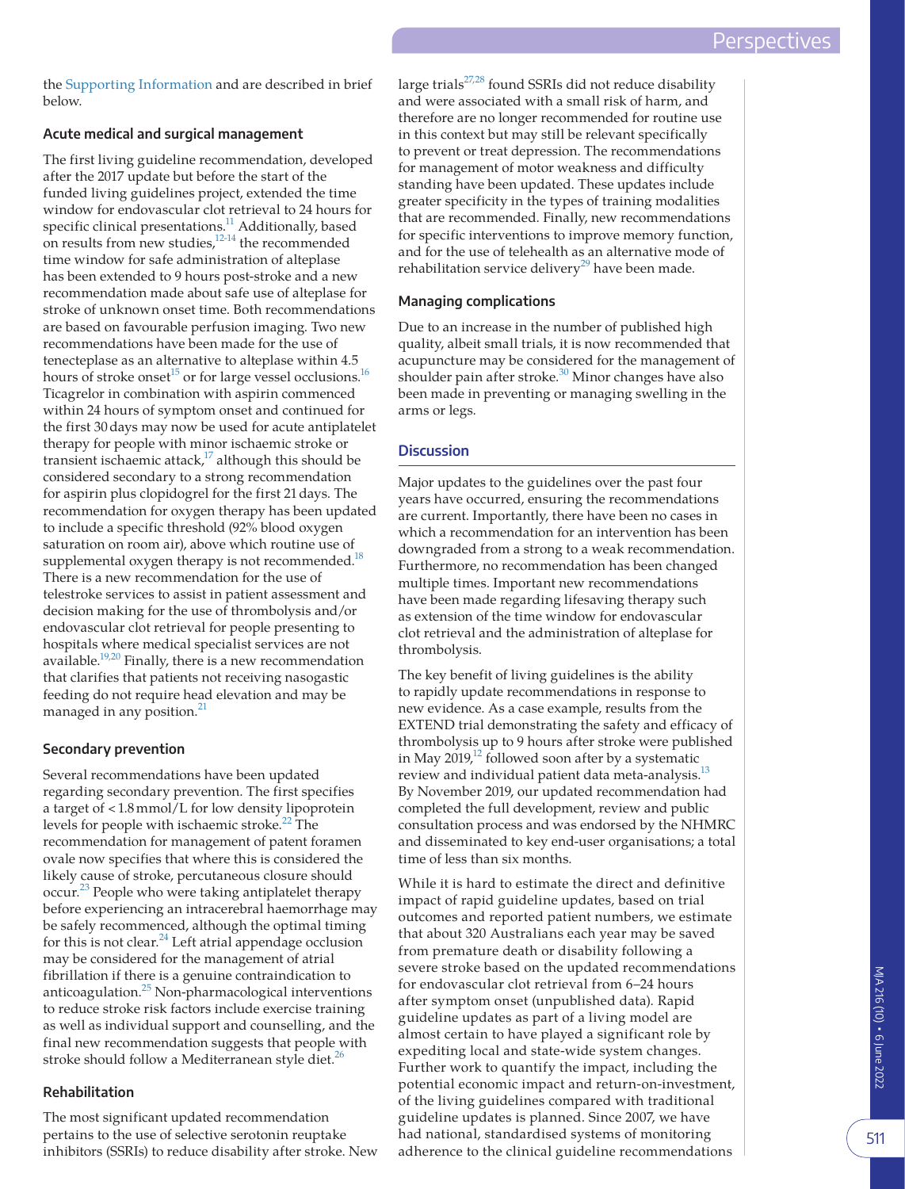the [Supporting Information](#page-4-0) and are described in brief below.

#### **Acute medical and surgical management**

The first living guideline recommendation, developed after the 2017 update but before the start of the funded living guidelines project, extended the time window for endovascular clot retrieval to 24 hours for specific clinical presentations.<sup>11</sup> Additionally, based on results from new studies,<sup>12-14</sup> the recommended time window for safe administration of alteplase has been extended to 9 hours post-stroke and a new recommendation made about safe use of alteplase for stroke of unknown onset time. Both recommendations are based on favourable perfusion imaging. Two new recommendations have been made for the use of tenecteplase as an alternative to alteplase within 4.5 hours of stroke onset<sup>15</sup> or for large vessel occlusions.<sup>16</sup> Ticagrelor in combination with aspirin commenced within 24 hours of symptom onset and continued for the first 30days may now be used for acute antiplatelet therapy for people with minor ischaemic stroke or transient ischaemic attack, $17$  although this should be considered secondary to a strong recommendation for aspirin plus clopidogrel for the first 21days. The recommendation for oxygen therapy has been updated to include a specific threshold (92% blood oxygen saturation on room air), above which routine use of supplemental oxygen therapy is not recommended.<sup>18</sup> There is a new recommendation for the use of telestroke services to assist in patient assessment and decision making for the use of thrombolysis and/or endovascular clot retrieval for people presenting to hospitals where medical specialist services are not available.<sup>19,20</sup> Finally, there is a new recommendation that clarifies that patients not receiving nasogastic feeding do not require head elevation and may be managed in any position.<sup>[21](#page-4-6)</sup>

#### **Secondary prevention**

Several recommendations have been updated regarding secondary prevention. The first specifies a target of <1.8mmol/L for low density lipoprotein levels for people with ischaemic stroke.<sup>[22](#page-4-7)</sup> The recommendation for management of patent foramen ovale now specifies that where this is considered the likely cause of stroke, percutaneous closure should occur.[23](#page-4-8) People who were taking antiplatelet therapy before experiencing an intracerebral haemorrhage may be safely recommenced, although the optimal timing for this is not clear.<sup>24</sup> Left atrial appendage occlusion may be considered for the management of atrial fibrillation if there is a genuine contraindication to anticoagulation. $25$  Non-pharmacological interventions to reduce stroke risk factors include exercise training as well as individual support and counselling, and the final new recommendation suggests that people with stroke should follow a Mediterranean style diet. $^{26}$  $^{26}$  $^{26}$ 

## **Rehabilitation**

The most significant updated recommendation pertains to the use of selective serotonin reuptake inhibitors (SSRIs) to reduce disability after stroke. New large trials $27,28$  found SSRIs did not reduce disability and were associated with a small risk of harm, and therefore are no longer recommended for routine use in this context but may still be relevant specifically to prevent or treat depression. The recommendations for management of motor weakness and difficulty standing have been updated. These updates include greater specificity in the types of training modalities that are recommended. Finally, new recommendations for specific interventions to improve memory function, and for the use of telehealth as an alternative mode of rehabilitation service delivery<sup>29</sup> have been made.

#### **Managing complications**

Due to an increase in the number of published high quality, albeit small trials, it is now recommended that acupuncture may be considered for the management of shoulder pain after stroke. $30$  Minor changes have also been made in preventing or managing swelling in the arms or legs.

### **Discussion**

Major updates to the guidelines over the past four years have occurred, ensuring the recommendations are current. Importantly, there have been no cases in which a recommendation for an intervention has been downgraded from a strong to a weak recommendation. Furthermore, no recommendation has been changed multiple times. Important new recommendations have been made regarding lifesaving therapy such as extension of the time window for endovascular clot retrieval and the administration of alteplase for thrombolysis.

The key benefit of living guidelines is the ability to rapidly update recommendations in response to new evidence. As a case example, results from the EXTEND trial demonstrating the safety and efficacy of thrombolysis up to 9 hours after stroke were published in May 2019, $^{12}$  followed soon after by a systematic review and individual patient data meta-analysis.<sup>13</sup> By November 2019, our updated recommendation had completed the full development, review and public consultation process and was endorsed by the NHMRC and disseminated to key end-user organisations; a total time of less than six months.

While it is hard to estimate the direct and definitive impact of rapid guideline updates, based on trial outcomes and reported patient numbers, we estimate that about 320 Australians each year may be saved from premature death or disability following a severe stroke based on the updated recommendations for endovascular clot retrieval from 6–24 hours after symptom onset (unpublished data). Rapid guideline updates as part of a living model are almost certain to have played a significant role by expediting local and state-wide system changes. Further work to quantify the impact, including the potential economic impact and return-on-investment, of the living guidelines compared with traditional guideline updates is planned. Since 2007, we have had national, standardised systems of monitoring adherence to the clinical guideline recommendations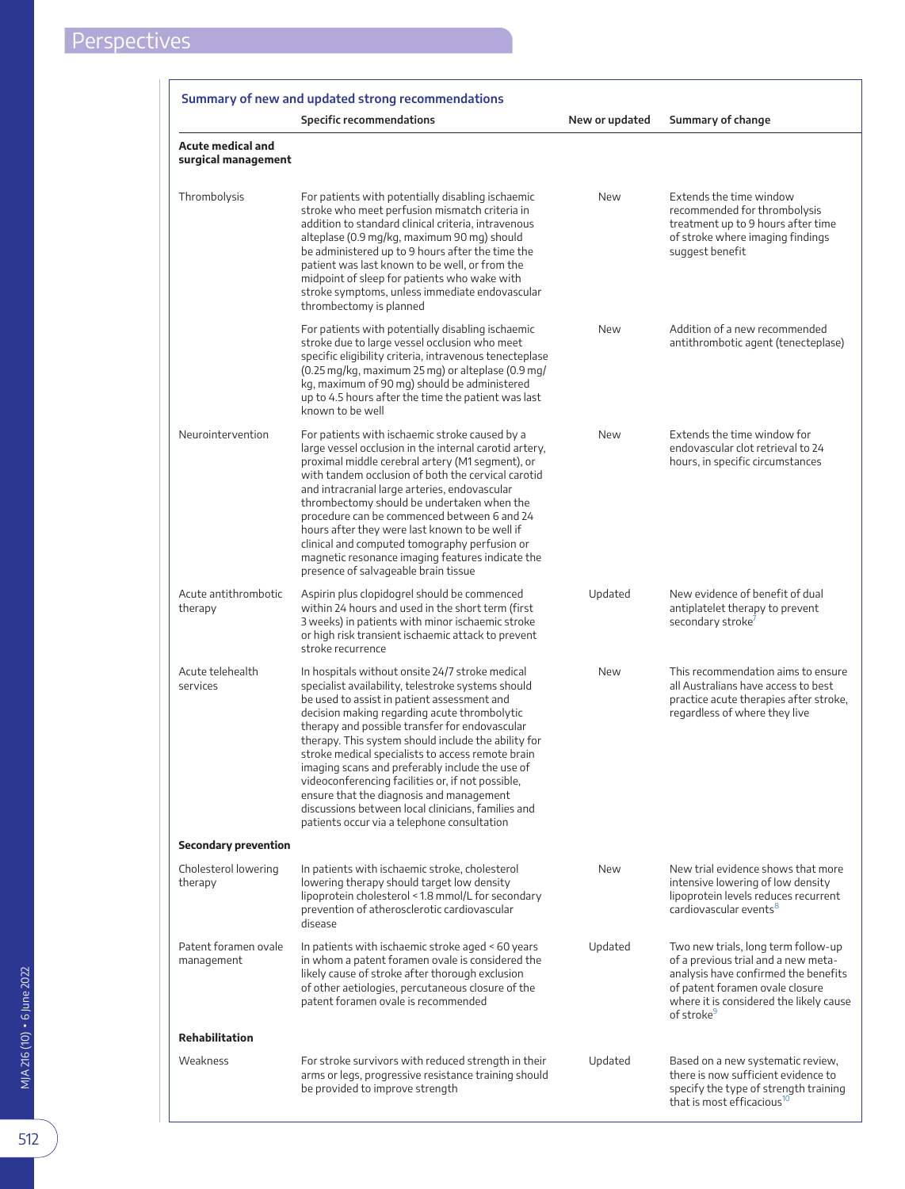<span id="page-2-0"></span>

|                                                 | <b>Specific recommendations</b>                                                                                                                                                                                                                                                                                                                                                                                                                                                                                                                                                                                             | New or updated | Summary of change                                                                                                                                                                                                          |
|-------------------------------------------------|-----------------------------------------------------------------------------------------------------------------------------------------------------------------------------------------------------------------------------------------------------------------------------------------------------------------------------------------------------------------------------------------------------------------------------------------------------------------------------------------------------------------------------------------------------------------------------------------------------------------------------|----------------|----------------------------------------------------------------------------------------------------------------------------------------------------------------------------------------------------------------------------|
| <b>Acute medical and</b><br>surgical management |                                                                                                                                                                                                                                                                                                                                                                                                                                                                                                                                                                                                                             |                |                                                                                                                                                                                                                            |
| Thrombolysis                                    | For patients with potentially disabling ischaemic<br>stroke who meet perfusion mismatch criteria in<br>addition to standard clinical criteria, intravenous<br>alteplase (0.9 mg/kg, maximum 90 mg) should<br>be administered up to 9 hours after the time the<br>patient was last known to be well, or from the<br>midpoint of sleep for patients who wake with<br>stroke symptoms, unless immediate endovascular<br>thrombectomy is planned                                                                                                                                                                                | New            | Extends the time window<br>recommended for thrombolysis<br>treatment up to 9 hours after time<br>of stroke where imaging findings<br>suggest benefit                                                                       |
|                                                 | For patients with potentially disabling ischaemic<br>stroke due to large vessel occlusion who meet<br>specific eligibility criteria, intravenous tenecteplase<br>(0.25 mg/kg, maximum 25 mg) or alteplase (0.9 mg/<br>kg, maximum of 90 mg) should be administered<br>up to 4.5 hours after the time the patient was last<br>known to be well                                                                                                                                                                                                                                                                               | New            | Addition of a new recommended<br>antithrombotic agent (tenecteplase)                                                                                                                                                       |
| Neurointervention                               | For patients with ischaemic stroke caused by a<br>large vessel occlusion in the internal carotid artery,<br>proximal middle cerebral artery (M1 segment), or<br>with tandem occlusion of both the cervical carotid<br>and intracranial large arteries, endovascular<br>thrombectomy should be undertaken when the<br>procedure can be commenced between 6 and 24<br>hours after they were last known to be well if<br>clinical and computed tomography perfusion or<br>magnetic resonance imaging features indicate the<br>presence of salvageable brain tissue                                                             | New            | Extends the time window for<br>endovascular clot retrieval to 24<br>hours, in specific circumstances                                                                                                                       |
| Acute antithrombotic<br>therapy                 | Aspirin plus clopidogrel should be commenced<br>within 24 hours and used in the short term (first<br>3 weeks) in patients with minor ischaemic stroke<br>or high risk transient ischaemic attack to prevent<br>stroke recurrence                                                                                                                                                                                                                                                                                                                                                                                            | Updated        | New evidence of benefit of dual<br>antiplatelet therapy to prevent<br>secondary stroke                                                                                                                                     |
| Acute telehealth<br>services                    | In hospitals without onsite 24/7 stroke medical<br>specialist availability, telestroke systems should<br>be used to assist in patient assessment and<br>decision making regarding acute thrombolytic<br>therapy and possible transfer for endovascular<br>therapy. This system should include the ability for<br>stroke medical specialists to access remote brain<br>imaging scans and preferably include the use of<br>videoconferencing facilities or, if not possible,<br>ensure that the diagnosis and management<br>discussions between local clinicians, families and<br>patients occur via a telephone consultation | New            | This recommendation aims to ensure<br>all Australians have access to best<br>practice acute therapies after stroke,<br>regardless of where they live                                                                       |
| <b>Secondary prevention</b>                     |                                                                                                                                                                                                                                                                                                                                                                                                                                                                                                                                                                                                                             |                |                                                                                                                                                                                                                            |
| Cholesterol lowering<br>therapy                 | In patients with ischaemic stroke, cholesterol<br>lowering therapy should target low density<br>lipoprotein cholesterol < 1.8 mmol/L for secondary<br>prevention of atherosclerotic cardiovascular<br>disease                                                                                                                                                                                                                                                                                                                                                                                                               | New            | New trial evidence shows that more<br>intensive lowering of low density<br>lipoprotein levels reduces recurrent<br>cardiovascular events <sup>8</sup>                                                                      |
| Patent foramen ovale<br>management              | In patients with ischaemic stroke aged $\leq 60$ years<br>in whom a patent foramen ovale is considered the<br>likely cause of stroke after thorough exclusion<br>of other aetiologies, percutaneous closure of the<br>patent foramen ovale is recommended                                                                                                                                                                                                                                                                                                                                                                   | Updated        | Two new trials, long term follow-up<br>of a previous trial and a new meta-<br>analysis have confirmed the benefits<br>of patent foramen ovale closure<br>where it is considered the likely cause<br>of stroke <sup>9</sup> |
| <b>Rehabilitation</b>                           |                                                                                                                                                                                                                                                                                                                                                                                                                                                                                                                                                                                                                             |                |                                                                                                                                                                                                                            |
| Weakness                                        | For stroke survivors with reduced strength in their<br>arms or legs, progressive resistance training should<br>be provided to improve strength                                                                                                                                                                                                                                                                                                                                                                                                                                                                              | Updated        | Based on a new systematic review,<br>there is now sufficient evidence to<br>specify the type of strength training<br>that is most efficacious <sup>10</sup>                                                                |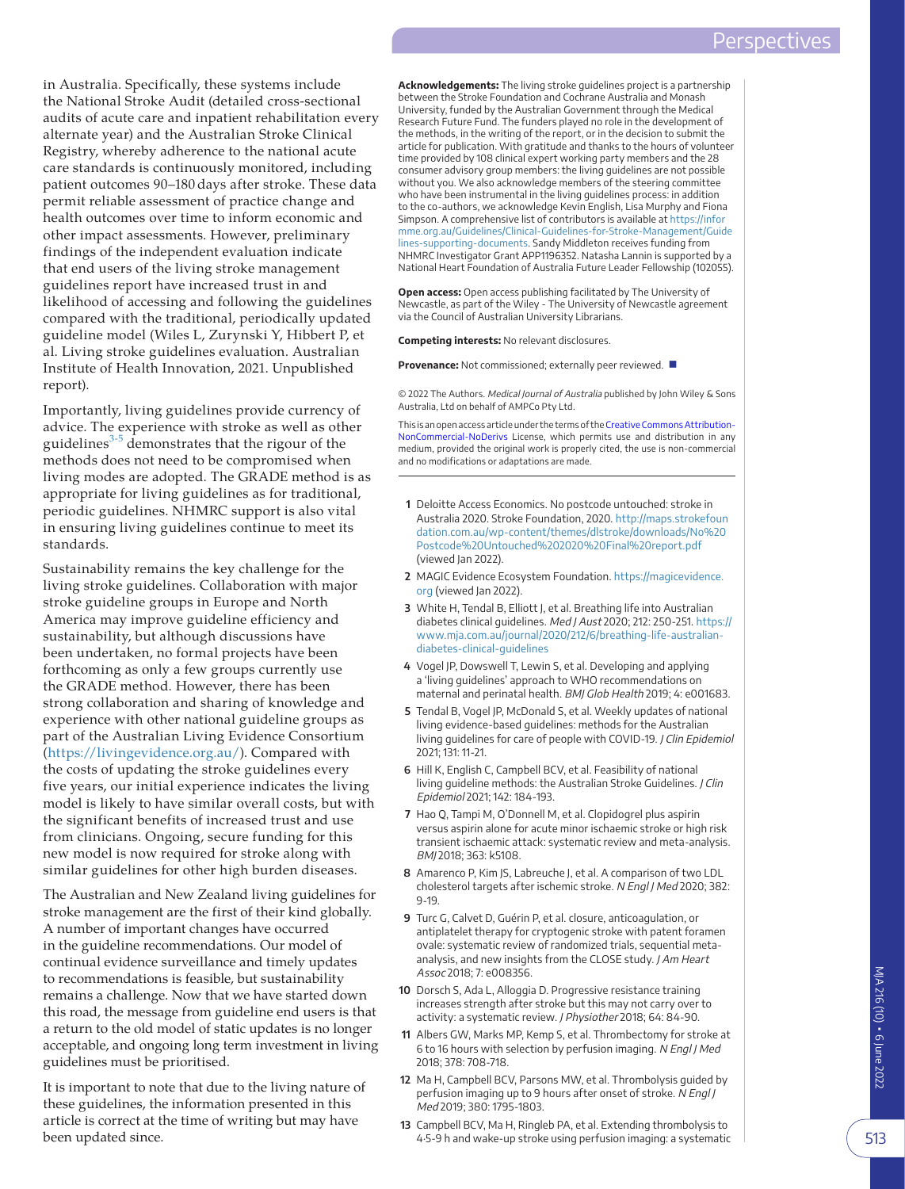in Australia. Specifically, these systems include the National Stroke Audit (detailed cross-sectional audits of acute care and inpatient rehabilitation every alternate year) and the Australian Stroke Clinical Registry, whereby adherence to the national acute care standards is continuously monitored, including patient outcomes 90–180 days after stroke. These data permit reliable assessment of practice change and health outcomes over time to inform economic and other impact assessments. However, preliminary findings of the independent evaluation indicate that end users of the living stroke management guidelines report have increased trust in and likelihood of accessing and following the guidelines compared with the traditional, periodically updated guideline model (Wiles L, Zurynski Y, Hibbert P, et al. Living stroke guidelines evaluation. Australian Institute of Health Innovation, 2021. Unpublished report).

Importantly, living guidelines provide currency of advice. The experience with stroke as well as other guidelines<sup>[3-5](#page-3-2)</sup> demonstrates that the rigour of the methods does not need to be compromised when living modes are adopted. The GRADE method is as appropriate for living guidelines as for traditional, periodic guidelines. NHMRC support is also vital in ensuring living guidelines continue to meet its standards.

Sustainability remains the key challenge for the living stroke guidelines. Collaboration with major stroke guideline groups in Europe and North America may improve guideline efficiency and sustainability, but although discussions have been undertaken, no formal projects have been forthcoming as only a few groups currently use the GRADE method. However, there has been strong collaboration and sharing of knowledge and experience with other national guideline groups as part of the Australian Living Evidence Consortium ([https://livingevidence.org.au/\)](https://livingevidence.org.au/). Compared with the costs of updating the stroke guidelines every five years, our initial experience indicates the living model is likely to have similar overall costs, but with the significant benefits of increased trust and use from clinicians. Ongoing, secure funding for this new model is now required for stroke along with similar guidelines for other high burden diseases.

The Australian and New Zealand living guidelines for stroke management are the first of their kind globally. A number of important changes have occurred in the guideline recommendations. Our model of continual evidence surveillance and timely updates to recommendations is feasible, but sustainability remains a challenge. Now that we have started down this road, the message from guideline end users is that a return to the old model of static updates is no longer acceptable, and ongoing long term investment in living guidelines must be prioritised.

It is important to note that due to the living nature of these guidelines, the information presented in this article is correct at the time of writing but may have been updated since.

**Acknowledgements:** The living stroke guidelines project is a partnership between the Stroke Foundation and Cochrane Australia and Monash University, funded by the Australian Government through the Medical Research Future Fund. The funders played no role in the development of the methods, in the writing of the report, or in the decision to submit the article for publication. With gratitude and thanks to the hours of volunteer time provided by 108 clinical expert working party members and the 28 consumer advisory group members: the living guidelines are not possible without you. We also acknowledge members of the steering committee who have been instrumental in the living quidelines process: in addition to the co-authors, we acknowledge Kevin English, Lisa Murphy and Fiona Simpson. A comprehensive list of contributors is available at [https://infor](https://informme.org.au/Guidelines/Clinical-Guidelines-for-Stroke-Management/Guidelines-supporting-documents) [mme.org.au/Guidelines/Clinical-Guidelines-for-Stroke-Management/Guide](https://informme.org.au/Guidelines/Clinical-Guidelines-for-Stroke-Management/Guidelines-supporting-documents) [lines-supporting-documents.](https://informme.org.au/Guidelines/Clinical-Guidelines-for-Stroke-Management/Guidelines-supporting-documents) Sandy Middleton receives funding from NHMRC Investigator Grant APP1196352. Natasha Lannin is supported by a National Heart Foundation of Australia Future Leader Fellowship (102055).

**Open access:** Open access publishing facilitated by The University of Newcastle, as part of the Wiley - The University of Newcastle agreement via the Council of Australian University Librarians.

#### **Competing interests:** No relevant disclosures.

**Provenance:** Not commissioned; externally peer reviewed. ■

© 2022 The Authors. Medical Journal of Australia published by John Wiley & Sons Australia, Ltd on behalf of AMPCo Pty Ltd.

This is an open access article under the terms of the [Creative Commons Attribution-](http://creativecommons.org/licenses/by-nc-nd/4.0/)[NonCommercial-NoDerivs](http://creativecommons.org/licenses/by-nc-nd/4.0/) License, which permits use and distribution in any medium, provided the original work is properly cited, the use is non-commercial and no modifications or adaptations are made.

- <span id="page-3-0"></span>**1** Deloitte Access Economics. No postcode untouched: stroke in Australia 2020. Stroke Foundation, 2020. [http://maps.strokefoun](http://maps.strokefoundation.com.au/wp-content/themes/dlstroke/downloads/No Postcode Untouched 2020 Final report.pdf) [dation.com.au/wp-content/themes/dlstroke/downloads/No%20](http://maps.strokefoundation.com.au/wp-content/themes/dlstroke/downloads/No Postcode Untouched 2020 Final report.pdf) [Postcode%20Untouched%202020%20Final%20report.pdf](http://maps.strokefoundation.com.au/wp-content/themes/dlstroke/downloads/No Postcode Untouched 2020 Final report.pdf) (viewed Jan 2022).
- <span id="page-3-1"></span>**2** MAGIC Evidence Ecosystem Foundation. [https://magicevidence.](https://magicevidence.org) [org](https://magicevidence.org) (viewed Jan 2022).
- <span id="page-3-2"></span>**3** White H, Tendal B, Elliott J, et al. Breathing life into Australian diabetes clinical guidelines. Med J Aust 2020; 212: 250-251. [https://](https://www.mja.com.au/journal/2020/212/6/breathing-life-australian-diabetes-clinical-guidelines) [www.mja.com.au/journal/2020/212/6/breathing-life-australian](https://www.mja.com.au/journal/2020/212/6/breathing-life-australian-diabetes-clinical-guidelines)[diabetes-clinical-guidelines](https://www.mja.com.au/journal/2020/212/6/breathing-life-australian-diabetes-clinical-guidelines)
- <span id="page-3-3"></span>**4** Vogel JP, Dowswell T, Lewin S, et al. Developing and applying a 'living guidelines' approach to WHO recommendations on maternal and perinatal health. BMJ Glob Health 2019; 4: e001683.
- <span id="page-3-4"></span>**5** Tendal B, Vogel JP, McDonald S, et al. Weekly updates of national living evidence-based guidelines: methods for the Australian living guidelines for care of people with COVID-19. J Clin Epidemiol 2021; 131: 11-21.
- <span id="page-3-5"></span>**6** Hill K, English C, Campbell BCV, et al. Feasibility of national living guideline methods: the Australian Stroke Guidelines. J Clin Epidemiol 2021; 142: 184-193.
- <span id="page-3-9"></span>**7** Hao Q, Tampi M, O'Donnell M, et al. Clopidogrel plus aspirin versus aspirin alone for acute minor ischaemic stroke or high risk transient ischaemic attack: systematic review and meta-analysis. BMJ 2018; 363: k5108.
- <span id="page-3-10"></span>**8** Amarenco P, Kim JS, Labreuche J, et al. A comparison of two LDL cholesterol targets after ischemic stroke. N Engl J Med 2020; 382: 9-19.
- <span id="page-3-11"></span>**9** Turc G, Calvet D, Guérin P, et al. closure, anticoagulation, or antiplatelet therapy for cryptogenic stroke with patent foramen ovale: systematic review of randomized trials, sequential metaanalysis, and new insights from the CLOSE study. J Am Heart Assoc 2018; 7: e008356.
- <span id="page-3-12"></span>**10** Dorsch S, Ada L, Alloggia D. Progressive resistance training increases strength after stroke but this may not carry over to activity: a systematic review. J Physiother 2018; 64: 84-90.
- <span id="page-3-6"></span>**11** Albers GW, Marks MP, Kemp S, et al. Thrombectomy for stroke at 6 to 16 hours with selection by perfusion imaging. N Engl J Med 2018; 378: 708-718.
- <span id="page-3-7"></span>**12** Ma H, Campbell BCV, Parsons MW, et al. Thrombolysis guided by perfusion imaging up to 9 hours after onset of stroke. N Engl J Med 2019; 380: 1795-1803.
- <span id="page-3-8"></span>**13** Campbell BCV, Ma H, Ringleb PA, et al. Extending thrombolysis to 4·5-9 h and wake-up stroke using perfusion imaging: a systematic